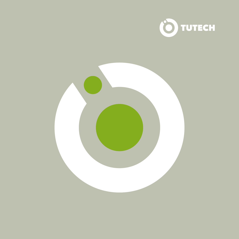

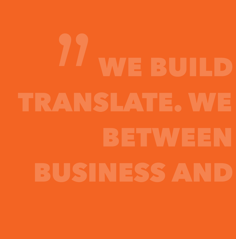# **WE BUILD** TRANSLATE. WE BETWEEN **BUSINESS AND**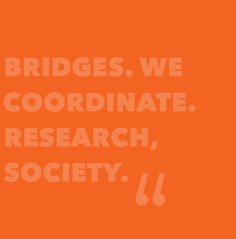# **BRIDGES, WE** COORDINATE. RESEARCH, SOCIETY.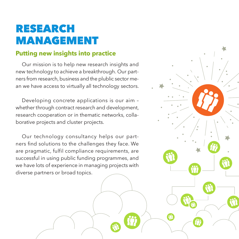## RESEARCH MANAGEMENT

#### **Putting new insights into practice**

Our mission is to help new research insights and new technology to achieve a breakthrough. Our partners from research, business and the plublic sector mean we have access to virtually all technology sectors.

Developing concrete applications is our aim – whether through contract research and development, research cooperation or in thematic networks, collaborative projects and cluster projects.

Our technology consultancy helps our partners find solutions to the challenges they face. We are pragmatic, fulfil compliance requirements, are successful in using public funding programmes, and we have lots of experience in managing projects with diverse partners or broad topics.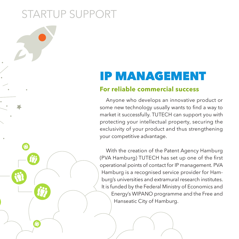# STARTUP SUPPORT

# IP MANAGEMENT

#### **For reliable commercial success**

Anyone who develops an innovative product or some new technology usually wants to find a way to market it successfully. TUTECH can support you with protecting your intellectual property, securing the exclusivity of your product and thus strengthening your competitive advantage.

With the creation of the Patent Agency Hamburg (PVA Hamburg) TUTECH has set up one of the first operational points of contact for IP management. PVA Hamburg is a recognised service provider for Hamburg's universities and extramural research institutes. It is funded by the Federal Ministry of Economics and Energy's WIPANO programme and the Free and Hanseatic City of Hamburg.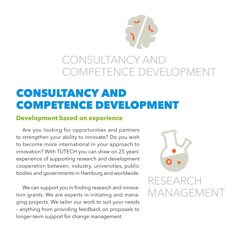

## CONSULTANCY AND COMPETENCE DEVELOPMENT

## CONSULTANCY AND COMPETENCE DEVELOPMENT

#### **Development based on experience**

Are you looking for opportunities and partners to strengthen your ability to innovate? Do you wish to become more international in your approach to innovation? With TUTECH you can draw on 25 years' experience of supporting research and development cooperation between, industry, universities, public bodies and governments in Hamburg and worldwide.

We can support you in finding research and innovation grants. We are experts in initiating and managing projects. We tailor our work to suit your needs – anything from providing feedback on proposals to longer-term support for change management.

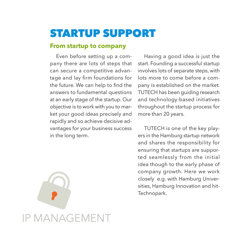## STARTUP SUPPORT

#### **From startup to company**

Even before setting up a company there are lots of steps that can secure a competitive advantage and lay firm foundations for the future. We can help to find the answers to fundamental questions at an early stage of the startup. Our objective is to work with you to market your good ideas precisely and rapidly and so achieve decisive advantages for your business success in the long term.

Having a good idea is just the start. Founding a successful startup involves lots of separate steps, with lots more to come before a company is established on the market. TUTECH has been guiding research and technology-based initiatives throughout the startup process for more than 20 years.

TUTECH is one of the key players in the Hamburg startup network and shares the responsibility for ensuring that startups are supported seamlessly from the initial idea though to the early phase of company growth. Here we work closely e.g. with Hamburg Universities, Hamburg Innovation and hit-Technopark.